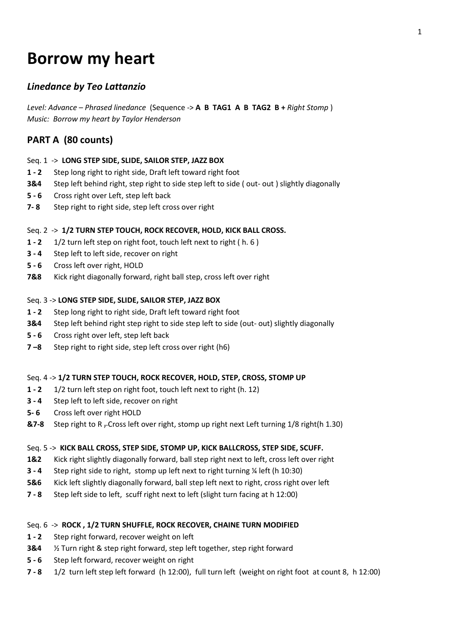# **Borrow my heart**

# *Linedance by Teo Lattanzio*

*Level: Advance – Phrased linedance* (Sequence -> **A B TAG1 A B TAG2 B +** *Right Stomp* ) *Music: Borrow my heart by Taylor Henderson*

# **PART A (80 counts)**

# Seq. 1 -> **LONG STEP SIDE, SLIDE, SAILOR STEP, JAZZ BOX**

- **1 - 2** Step long right to right side, Draft left toward right foot
- **3&4** Step left behind right, step right to side step left to side (out-out) slightly diagonally
- **5 - 6** Cross right over Left, step left back
- **7- 8** Step right to right side, step left cross over right

# Seq. 2 -> **1/2 TURN STEP TOUCH, ROCK RECOVER, HOLD, KICK BALL CROSS.**

- **1 - 2** 1/2 turn left step on right foot, touch left next to right ( h. 6 )
- **3 - 4** Step left to left side, recover on right
- **5 - 6** Cross left over right, HOLD
- **7&8** Kick right diagonally forward, right ball step, cross left over right

# Seq. 3 -> **LONG STEP SIDE, SLIDE, SAILOR STEP, JAZZ BOX**

- **1 - 2** Step long right to right side, Draft left toward right foot
- **3&4** Step left behind right step right to side step left to side (out- out) slightly diagonally
- **5 - 6** Cross right over left, step left back
- **7 –8** Step right to right side, step left cross over right (h6)

# Seq. 4 -> **1/2 TURN STEP TOUCH, ROCK RECOVER, HOLD, STEP, CROSS, STOMP UP**

- **1 - 2** 1/2 turn left step on right foot, touch left next to right (h. 12)
- **3 - 4** Step left to left side, recover on right
- **5- 6** Cross left over right HOLD
- **&7-8** Step right to R<sub>T</sub>Cross left over right, stomp up right next Left turning 1/8 right(h 1.30)

# Seq. 5 -> **KICK BALL CROSS, STEP SIDE, STOMP UP, KICK BALLCROSS, STEP SIDE, SCUFF.**

- **1&2** Kick right slightly diagonally forward, ball step right next to left, cross left over right
- **3 - 4** Step right side to right, stomp up left next to right turning ¼ left (h 10:30)
- **5&6** Kick left slightly diagonally forward, ball step left next to right, cross right over left
- **7 - 8** Step left side to left, scuff right next to left (slight turn facing at h 12:00)

# Seq. 6 -> **ROCK , 1/2 TURN SHUFFLE, ROCK RECOVER, CHAINE TURN MODIFIED**

- **1 - 2** Step right forward, recover weight on left
- **3&4** ½ Turn right & step right forward, step left together, step right forward
- **5 - 6** Step left forward, recover weight on right
- **7 - 8** 1/2 turn left step left forward (h 12:00), full turn left (weight on right foot at count 8, h 12:00)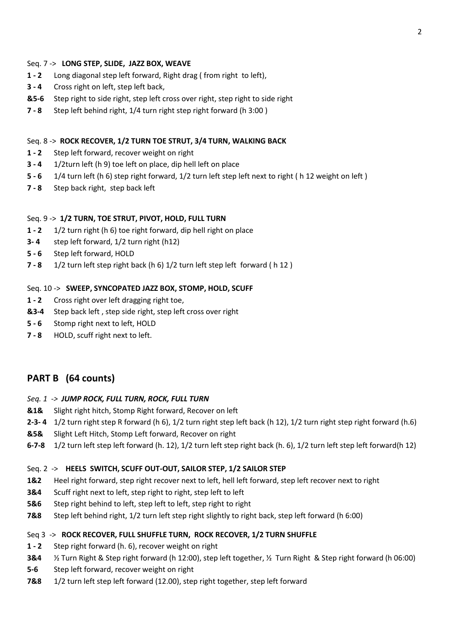#### Seq. 7 -> **LONG STEP, SLIDE, JAZZ BOX, WEAVE**

- **1 - 2** Long diagonal step left forward, Right drag ( from right to left),
- **3 - 4** Cross right on left, step left back,
- **&5-6** Step right to side right, step left cross over right, step right to side right
- **7 - 8** Step left behind right, 1/4 turn right step right forward (h 3:00 )

#### Seq. 8 -> **ROCK RECOVER, 1/2 TURN TOE STRUT, 3/4 TURN, WALKING BACK**

- **1 - 2** Step left forward, recover weight on right
- **3 - 4** 1/2turn left (h 9) toe left on place, dip hell left on place
- **5 - 6** 1/4 turn left (h 6) step right forward, 1/2 turn left step left next to right ( h 12 weight on left )
- **7 - 8** Step back right, step back left

# Seq. 9 -> **1/2 TURN, TOE STRUT, PIVOT, HOLD, FULL TURN**

- **1 - 2** 1/2 turn right (h 6) toe right forward, dip hell right on place
- **3- 4** step left forward, 1/2 turn right (h12)
- **5 - 6** Step left forward, HOLD
- **7 - 8** 1/2 turn left step right back (h 6) 1/2 turn left step left forward ( h 12 )

#### Seq. 10 -> **SWEEP, SYNCOPATED JAZZ BOX, STOMP, HOLD, SCUFF**

- **1 2** Cross right over left dragging right toe,
- **&3-4** Step back left , step side right, step left cross over right
- **5 - 6** Stomp right next to left, HOLD
- **7 - 8** HOLD, scuff right next to left.

# **PART B (64 counts)**

#### *Seq. 1 -> JUMP ROCK, FULL TURN, ROCK, FULL TURN*

- **&1&** Slight right hitch, Stomp Right forward, Recover on left
- **2-3- 4** 1/2 turn right step R forward (h 6), 1/2 turn right step left back (h 12), 1/2 turn right step right forward (h.6)
- **&5&** Slight Left Hitch, Stomp Left forward, Recover on right
- **6-7-8** 1/2 turn left step left forward (h. 12), 1/2 turn left step right back (h. 6), 1/2 turn left step left forward(h 12)

#### Seq. 2 -> **HEELS SWITCH, SCUFF OUT-OUT, SAILOR STEP, 1/2 SAILOR STEP**

- **1&2** Heel right forward, step right recover next to left, hell left forward, step left recover next to right
- **3&4** Scuff right next to left, step right to right, step left to left
- **5&6** Step right behind to left, step left to left, step right to right
- **7&8** Step left behind right, 1/2 turn left step right slightly to right back, step left forward (h 6:00)

#### Seq 3 -> **ROCK RECOVER, FULL SHUFFLE TURN, ROCK RECOVER, 1/2 TURN SHUFFLE**

- **1 - 2** Step right forward (h. 6), recover weight on right
- **3&4** ½ Turn Right & Step right forward (h 12:00), step left together, ½ Turn Right & Step right forward (h 06:00)
- **5-6** Step left forward, recover weight on right
- **7&8** 1/2 turn left step left forward (12.00), step right together, step left forward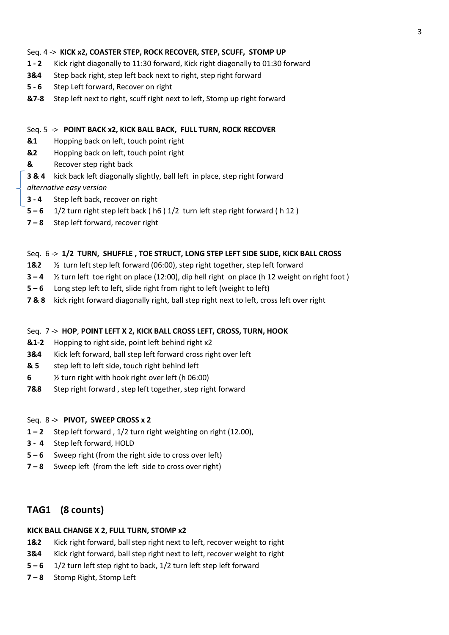# Seq. 4 -> **KICK x2, COASTER STEP, ROCK RECOVER, STEP, SCUFF, STOMP UP**

- **1 - 2** Kick right diagonally to 11:30 forward, Kick right diagonally to 01:30 forward
- **3&4** Step back right, step left back next to right, step right forward
- **5 - 6** Step Left forward, Recover on right
- **&7-8** Step left next to right, scuff right next to left, Stomp up right forward

# Seq. 5 -> **POINT BACK x2, KICK BALL BACK, FULL TURN, ROCK RECOVER**

- **&1** Hopping back on left, touch point right
- **&2** Hopping back on left, touch point right
- **&** Recover step right back
- **3 & 4** kick back left diagonally slightly, ball left in place, step right forward

*alternative easy version*

- **3 - 4** Step left back, recover on right
- **5 – 6** 1/2 turn right step left back ( h6 ) 1/2 turn left step right forward ( h 12 )
- **7 – 8** Step left forward, recover right

# Seq. 6 -> **1/2 TURN, SHUFFLE , TOE STRUCT, LONG STEP LEFT SIDE SLIDE, KICK BALL CROSS**

- **1&2** ½ turn left step left forward (06:00), step right together, step left forward
- **3 – 4** ½ turn left toe right on place (12:00), dip hell right on place (h 12 weight on right foot )
- **5 – 6** Long step left to left, slide right from right to left (weight to left)
- **7 & 8** kick right forward diagonally right, ball step right next to left, cross left over right

# Seq. 7 -> **HOP**, **POINT LEFT X 2, KICK BALL CROSS LEFT, CROSS, TURN, HOOK**

- **&1-2** Hopping to right side, point left behind right x2
- **3&4** Kick left forward, ball step left forward cross right over left
- **& 5** step left to left side, touch right behind left
- **6** ½ turn right with hook right over left (h 06:00)
- **7&8** Step right forward , step left together, step right forward

# Seq. 8 -> **PIVOT, SWEEP CROSS x 2**

- **1 – 2** Step left forward , 1/2 turn right weighting on right (12.00),
- **3 4** Step left forward, HOLD
- **5 – 6** Sweep right (from the right side to cross over left)
- **7 – 8** Sweep left (from the left side to cross over right)

# **TAG1 (8 counts)**

# **KICK BALL CHANGE X 2, FULL TURN, STOMP x2**

- **1&2** Kick right forward, ball step right next to left, recover weight to right
- **3&4** Kick right forward, ball step right next to left, recover weight to right
- **5 – 6** 1/2 turn left step right to back, 1/2 turn left step left forward
- **7 – 8** Stomp Right, Stomp Left